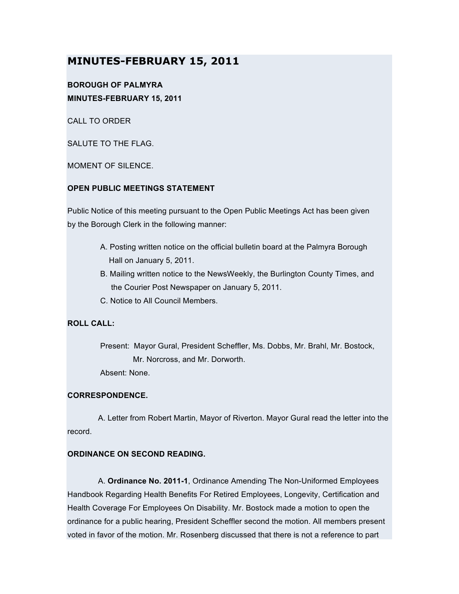# **MINUTES-FEBRUARY 15, 2011**

## **BOROUGH OF PALMYRA MINUTES-FEBRUARY 15, 2011**

CALL TO ORDER

SALUTE TO THE FLAG.

MOMENT OF SILENCE.

#### **OPEN PUBLIC MEETINGS STATEMENT**

Public Notice of this meeting pursuant to the Open Public Meetings Act has been given by the Borough Clerk in the following manner:

- A. Posting written notice on the official bulletin board at the Palmyra Borough Hall on January 5, 2011.
- B. Mailing written notice to the NewsWeekly, the Burlington County Times, and the Courier Post Newspaper on January 5, 2011.
- C. Notice to All Council Members.

## **ROLL CALL:**

Present: Mayor Gural, President Scheffler, Ms. Dobbs, Mr. Brahl, Mr. Bostock, Mr. Norcross, and Mr. Dorworth.

Absent: None.

## **CORRESPONDENCE.**

A. Letter from Robert Martin, Mayor of Riverton. Mayor Gural read the letter into the record.

## **ORDINANCE ON SECOND READING.**

A. **Ordinance No. 2011-1**, Ordinance Amending The Non-Uniformed Employees Handbook Regarding Health Benefits For Retired Employees, Longevity, Certification and Health Coverage For Employees On Disability. Mr. Bostock made a motion to open the ordinance for a public hearing, President Scheffler second the motion. All members present voted in favor of the motion. Mr. Rosenberg discussed that there is not a reference to part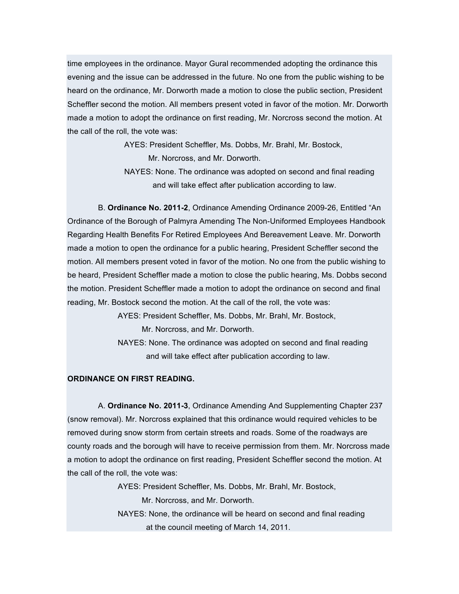time employees in the ordinance. Mayor Gural recommended adopting the ordinance this evening and the issue can be addressed in the future. No one from the public wishing to be heard on the ordinance, Mr. Dorworth made a motion to close the public section, President Scheffler second the motion. All members present voted in favor of the motion. Mr. Dorworth made a motion to adopt the ordinance on first reading, Mr. Norcross second the motion. At the call of the roll, the vote was:

> AYES: President Scheffler, Ms. Dobbs, Mr. Brahl, Mr. Bostock, Mr. Norcross, and Mr. Dorworth.

NAYES: None. The ordinance was adopted on second and final reading and will take effect after publication according to law.

B. **Ordinance No. 2011-2**, Ordinance Amending Ordinance 2009-26, Entitled "An Ordinance of the Borough of Palmyra Amending The Non-Uniformed Employees Handbook Regarding Health Benefits For Retired Employees And Bereavement Leave. Mr. Dorworth made a motion to open the ordinance for a public hearing, President Scheffler second the motion. All members present voted in favor of the motion. No one from the public wishing to be heard, President Scheffler made a motion to close the public hearing, Ms. Dobbs second the motion. President Scheffler made a motion to adopt the ordinance on second and final reading, Mr. Bostock second the motion. At the call of the roll, the vote was:

> AYES: President Scheffler, Ms. Dobbs, Mr. Brahl, Mr. Bostock, Mr. Norcross, and Mr. Dorworth.

NAYES: None. The ordinance was adopted on second and final reading and will take effect after publication according to law.

#### **ORDINANCE ON FIRST READING.**

A. **Ordinance No. 2011-3**, Ordinance Amending And Supplementing Chapter 237 (snow removal). Mr. Norcross explained that this ordinance would required vehicles to be removed during snow storm from certain streets and roads. Some of the roadways are county roads and the borough will have to receive permission from them. Mr. Norcross made a motion to adopt the ordinance on first reading, President Scheffler second the motion. At the call of the roll, the vote was:

> AYES: President Scheffler, Ms. Dobbs, Mr. Brahl, Mr. Bostock, Mr. Norcross, and Mr. Dorworth.

NAYES: None, the ordinance will be heard on second and final reading at the council meeting of March 14, 2011.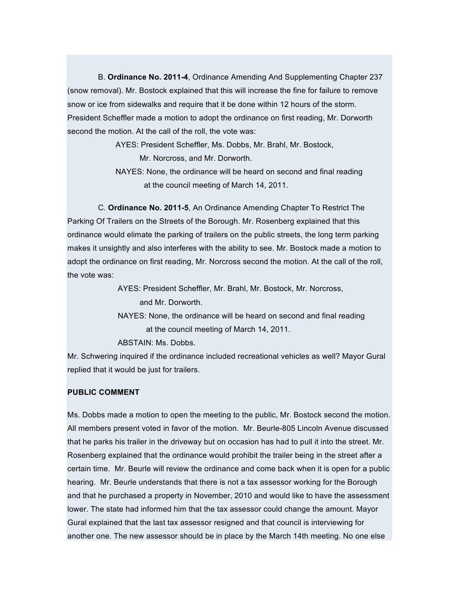B. **Ordinance No. 2011-4**, Ordinance Amending And Supplementing Chapter 237 (snow removal). Mr. Bostock explained that this will increase the fine for failure to remove snow or ice from sidewalks and require that it be done within 12 hours of the storm. President Scheffler made a motion to adopt the ordinance on first reading, Mr. Dorworth second the motion. At the call of the roll, the vote was:

AYES: President Scheffler, Ms. Dobbs, Mr. Brahl, Mr. Bostock,

Mr. Norcross, and Mr. Dorworth.

NAYES: None, the ordinance will be heard on second and final reading at the council meeting of March 14, 2011.

C. **Ordinance No. 2011-5**, An Ordinance Amending Chapter To Restrict The Parking Of Trailers on the Streets of the Borough. Mr. Rosenberg explained that this ordinance would elimate the parking of trailers on the public streets, the long term parking makes it unsightly and also interferes with the ability to see. Mr. Bostock made a motion to adopt the ordinance on first reading, Mr. Norcross second the motion. At the call of the roll, the vote was:

AYES: President Scheffler, Mr. Brahl, Mr. Bostock, Mr. Norcross,

and Mr. Dorworth.

NAYES: None, the ordinance will be heard on second and final reading at the council meeting of March 14, 2011.

ABSTAIN: Ms. Dobbs.

Mr. Schwering inquired if the ordinance included recreational vehicles as well? Mayor Gural replied that it would be just for trailers.

## **PUBLIC COMMENT**

Ms. Dobbs made a motion to open the meeting to the public, Mr. Bostock second the motion. All members present voted in favor of the motion. Mr. Beurle-805 Lincoln Avenue discussed that he parks his trailer in the driveway but on occasion has had to pull it into the street. Mr. Rosenberg explained that the ordinance would prohibit the trailer being in the street after a certain time. Mr. Beurle will review the ordinance and come back when it is open for a public hearing. Mr. Beurle understands that there is not a tax assessor working for the Borough and that he purchased a property in November, 2010 and would like to have the assessment lower. The state had informed him that the tax assessor could change the amount. Mayor Gural explained that the last tax assessor resigned and that council is interviewing for another one. The new assessor should be in place by the March 14th meeting. No one else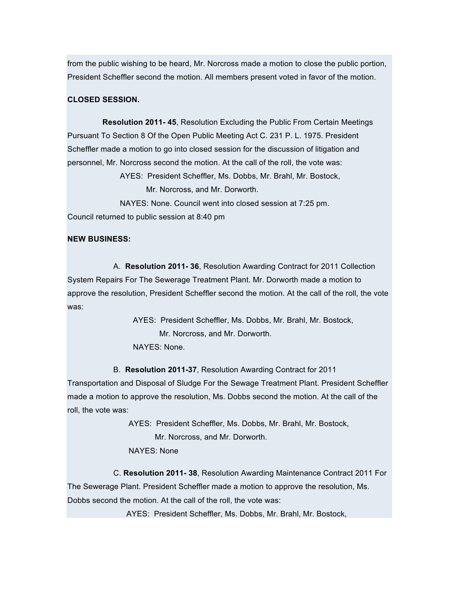from the public wishing to be heard, Mr. Norcross made a motion to close the public portion, President Scheffler second the motion. All members present voted in favor of the motion.

## **CLOSED SESSION.**

**Resolution 2011- 45**, Resolution Excluding the Public From Certain Meetings Pursuant To Section 8 Of the Open Public Meeting Act C. 231 P. L. 1975. President Scheffler made a motion to go into closed session for the discussion of litigation and personnel, Mr. Norcross second the motion. At the call of the roll, the vote was:

> AYES: President Scheffler, Ms. Dobbs, Mr. Brahl, Mr. Bostock, Mr. Norcross, and Mr. Dorworth.

NAYES: None. Council went into closed session at 7:25 pm. Council returned to public session at 8:40 pm

#### **NEW BUSINESS:**

A. **Resolution 2011- 36**, Resolution Awarding Contract for 2011 Collection System Repairs For The Sewerage Treatment Plant. Mr. Dorworth made a motion to approve the resolution, President Scheffler second the motion. At the call of the roll, the vote was:

> AYES: President Scheffler, Ms. Dobbs, Mr. Brahl, Mr. Bostock, Mr. Norcross, and Mr. Dorworth. NAYES: None.

B. **Resolution 2011-37**, Resolution Awarding Contract for 2011

Transportation and Disposal of Sludge For the Sewage Treatment Plant. President Scheffler made a motion to approve the resolution, Ms. Dobbs second the motion. At the call of the roll, the vote was:

> AYES: President Scheffler, Ms. Dobbs, Mr. Brahl, Mr. Bostock, Mr. Norcross, and Mr. Dorworth. NAYES: None

C. **Resolution 2011- 38**, Resolution Awarding Maintenance Contract 2011 For The Sewerage Plant. President Scheffler made a motion to approve the resolution, Ms. Dobbs second the motion. At the call of the roll, the vote was:

AYES: President Scheffler, Ms. Dobbs, Mr. Brahl, Mr. Bostock,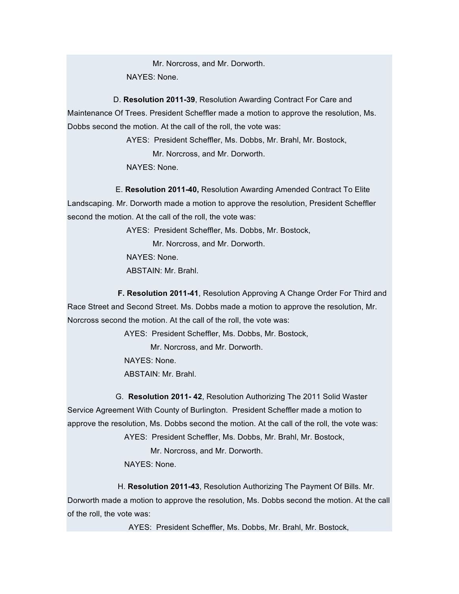Mr. Norcross, and Mr. Dorworth. NAYES: None.

D. **Resolution 2011-39**, Resolution Awarding Contract For Care and Maintenance Of Trees. President Scheffler made a motion to approve the resolution, Ms. Dobbs second the motion. At the call of the roll, the vote was:

> AYES: President Scheffler, Ms. Dobbs, Mr. Brahl, Mr. Bostock, Mr. Norcross, and Mr. Dorworth. NAYES: None.

E. **Resolution 2011-40,** Resolution Awarding Amended Contract To Elite Landscaping. Mr. Dorworth made a motion to approve the resolution, President Scheffler second the motion. At the call of the roll, the vote was:

AYES: President Scheffler, Ms. Dobbs, Mr. Bostock,

Mr. Norcross, and Mr. Dorworth.

NAYES: None.

ABSTAIN: Mr. Brahl.

**F. Resolution 2011-41**, Resolution Approving A Change Order For Third and Race Street and Second Street. Ms. Dobbs made a motion to approve the resolution, Mr. Norcross second the motion. At the call of the roll, the vote was:

AYES: President Scheffler, Ms. Dobbs, Mr. Bostock,

Mr. Norcross, and Mr. Dorworth.

NAYES: None. ABSTAIN: Mr. Brahl.

G. **Resolution 2011- 42**, Resolution Authorizing The 2011 Solid Waster Service Agreement With County of Burlington. President Scheffler made a motion to approve the resolution, Ms. Dobbs second the motion. At the call of the roll, the vote was:

AYES: President Scheffler, Ms. Dobbs, Mr. Brahl, Mr. Bostock,

Mr. Norcross, and Mr. Dorworth.

NAYES: None.

H. **Resolution 2011-43**, Resolution Authorizing The Payment Of Bills. Mr. Dorworth made a motion to approve the resolution, Ms. Dobbs second the motion. At the call of the roll, the vote was:

AYES: President Scheffler, Ms. Dobbs, Mr. Brahl, Mr. Bostock,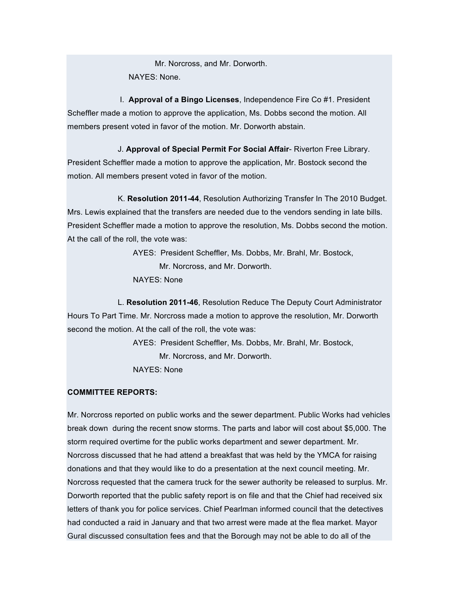Mr. Norcross, and Mr. Dorworth. NAYES: None.

I. **Approval of a Bingo Licenses**, Independence Fire Co #1. President Scheffler made a motion to approve the application, Ms. Dobbs second the motion. All members present voted in favor of the motion. Mr. Dorworth abstain.

J. **Approval of Special Permit For Social Affair**- Riverton Free Library. President Scheffler made a motion to approve the application, Mr. Bostock second the motion. All members present voted in favor of the motion.

K. **Resolution 2011-44**, Resolution Authorizing Transfer In The 2010 Budget. Mrs. Lewis explained that the transfers are needed due to the vendors sending in late bills. President Scheffler made a motion to approve the resolution, Ms. Dobbs second the motion. At the call of the roll, the vote was:

> AYES: President Scheffler, Ms. Dobbs, Mr. Brahl, Mr. Bostock, Mr. Norcross, and Mr. Dorworth. NAYES: None

L. **Resolution 2011-46**, Resolution Reduce The Deputy Court Administrator Hours To Part Time. Mr. Norcross made a motion to approve the resolution, Mr. Dorworth second the motion. At the call of the roll, the vote was:

> AYES: President Scheffler, Ms. Dobbs, Mr. Brahl, Mr. Bostock, Mr. Norcross, and Mr. Dorworth. NAYES: None

## **COMMITTEE REPORTS:**

Mr. Norcross reported on public works and the sewer department. Public Works had vehicles break down during the recent snow storms. The parts and labor will cost about \$5,000. The storm required overtime for the public works department and sewer department. Mr. Norcross discussed that he had attend a breakfast that was held by the YMCA for raising donations and that they would like to do a presentation at the next council meeting. Mr. Norcross requested that the camera truck for the sewer authority be released to surplus. Mr. Dorworth reported that the public safety report is on file and that the Chief had received six letters of thank you for police services. Chief Pearlman informed council that the detectives had conducted a raid in January and that two arrest were made at the flea market. Mayor Gural discussed consultation fees and that the Borough may not be able to do all of the